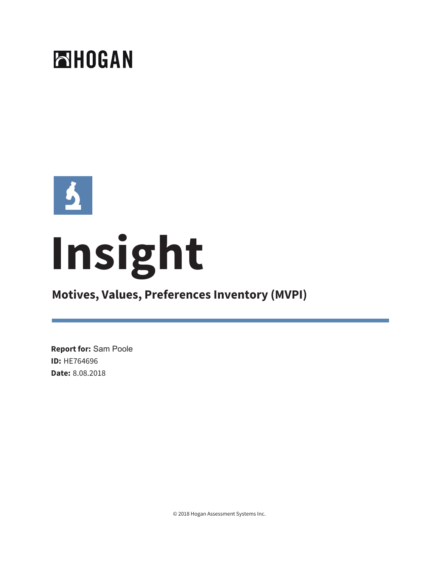



# **Insight**

# **Motives, Values, Preferences Inventory (MVPI)**

**Report for:** Sam Poole **ID:** HE764696 **Date:** 8.08.2018

© 2018 Hogan Assessment Systems Inc.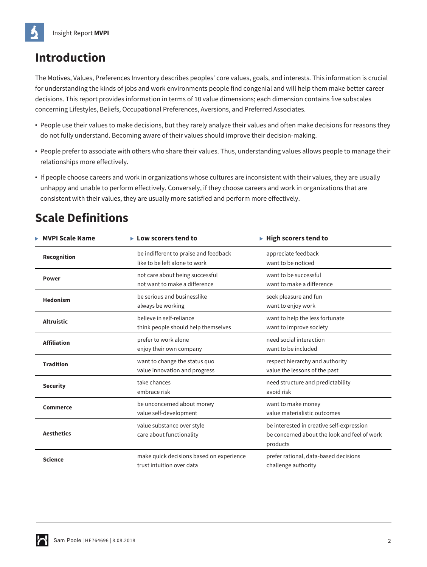# **Introduction**

The Motives, Values, Preferences Inventory describes peoples' core values, goals, and interests. This information is crucial for understanding the kinds of jobs and work environments people find congenial and will help them make better career decisions. This report provides information in terms of 10 value dimensions; each dimension contains five subscales concerning Lifestyles, Beliefs, Occupational Preferences, Aversions, and Preferred Associates.

- **•** People use their values to make decisions, but they rarely analyze their values and often make decisions for reasons they do not fully understand. Becoming aware of their values should improve their decision-making.
- **•** People prefer to associate with others who share their values. Thus, understanding values allows people to manage their relationships more effectively.
- **•** If people choose careers and work in organizations whose cultures are inconsistent with their values, they are usually unhappy and unable to perform effectively. Conversely, if they choose careers and work in organizations that are consistent with their values, they are usually more satisfied and perform more effectively.

# **Scale Definitions**

| <b>MVPI Scale Name</b> | $\blacktriangleright$ Low scorers tend to                              | $\blacktriangleright$ High scorers tend to                                                            |
|------------------------|------------------------------------------------------------------------|-------------------------------------------------------------------------------------------------------|
| Recognition            | be indifferent to praise and feedback<br>like to be left alone to work | appreciate feedback<br>want to be noticed                                                             |
| <b>Power</b>           | not care about being successful<br>not want to make a difference       | want to be successful<br>want to make a difference                                                    |
| <b>Hedonism</b>        | be serious and businesslike<br>always be working                       | seek pleasure and fun<br>want to enjoy work                                                           |
| <b>Altruistic</b>      | believe in self-reliance<br>think people should help themselves        | want to help the less fortunate<br>want to improve society                                            |
| <b>Affiliation</b>     | prefer to work alone<br>enjoy their own company                        | need social interaction<br>want to be included                                                        |
| <b>Tradition</b>       | want to change the status quo<br>value innovation and progress         | respect hierarchy and authority<br>value the lessons of the past                                      |
| <b>Security</b>        | take chances<br>embrace risk                                           | need structure and predictability<br>avoid risk                                                       |
| <b>Commerce</b>        | be unconcerned about money<br>value self-development                   | want to make money<br>value materialistic outcomes                                                    |
| <b>Aesthetics</b>      | value substance over style<br>care about functionality                 | be interested in creative self-expression<br>be concerned about the look and feel of work<br>products |
| <b>Science</b>         | make quick decisions based on experience<br>trust intuition over data  | prefer rational, data-based decisions<br>challenge authority                                          |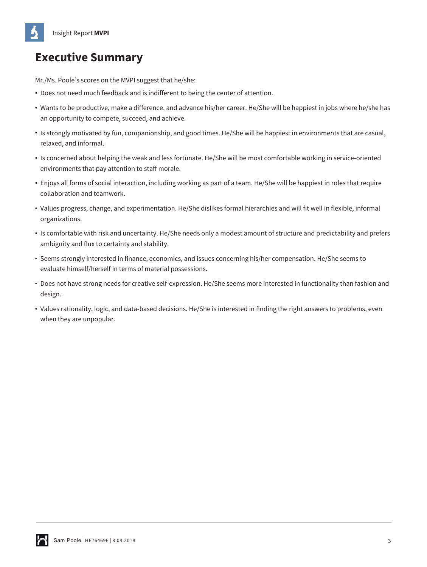# **Executive Summary**

Mr./Ms. Poole's scores on the MVPI suggest that he/she:

- **•** Does not need much feedback and is indifferent to being the center of attention.
- **•** Wants to be productive, make a difference, and advance his/her career. He/She will be happiest in jobs where he/she has an opportunity to compete, succeed, and achieve.
- **•** Is strongly motivated by fun, companionship, and good times. He/She will be happiest in environments that are casual, relaxed, and informal.
- **•** Is concerned about helping the weak and less fortunate. He/She will be most comfortable working in service-oriented environments that pay attention to staff morale.
- **•** Enjoys all forms of social interaction, including working as part of a team. He/She will be happiest in roles that require collaboration and teamwork.
- **•** Values progress, change, and experimentation. He/She dislikes formal hierarchies and will fit well in flexible, informal organizations.
- **•** Is comfortable with risk and uncertainty. He/She needs only a modest amount of structure and predictability and prefers ambiguity and flux to certainty and stability.
- **•** Seems strongly interested in finance, economics, and issues concerning his/her compensation. He/She seems to evaluate himself/herself in terms of material possessions.
- **•** Does not have strong needs for creative self-expression. He/She seems more interested in functionality than fashion and design.
- **•** Values rationality, logic, and data-based decisions. He/She is interested in finding the right answers to problems, even when they are unpopular.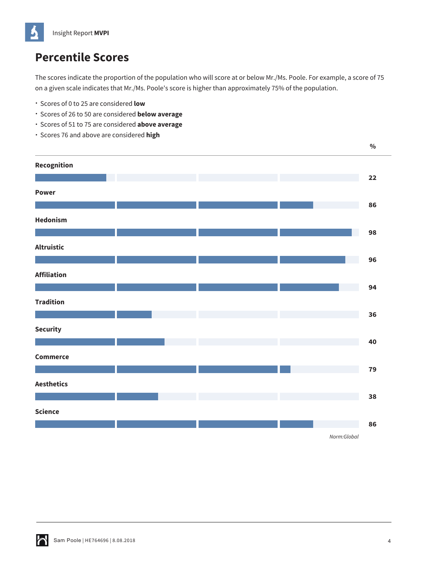# **Percentile Scores**

The scores indicate the proportion of the population who will score at or below Mr./Ms. Poole. For example, a score of 75 on a given scale indicates that Mr./Ms. Poole's score is higher than approximately 75% of the population.

- Scores of 0 to 25 are considered **low**
- Scores of 26 to 50 are considered **below average**
- Scores of 51 to 75 are considered **above average**
- Scores 76 and above are considered **high**

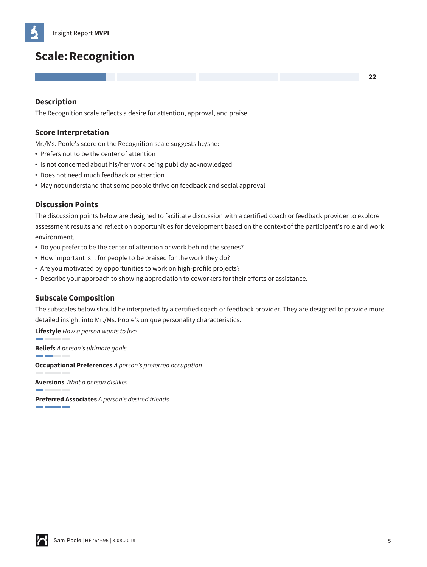# **Scale: Recognition**

## **Description**

The Recognition scale reflects a desire for attention, approval, and praise.

## **Score Interpretation**

Mr./Ms. Poole's score on the Recognition scale suggests he/she:

- **•** Prefers not to be the center of attention
- **•** Is not concerned about his/her work being publicly acknowledged
- **•** Does not need much feedback or attention
- **•** May not understand that some people thrive on feedback and social approval

#### **Discussion Points**

The discussion points below are designed to facilitate discussion with a certified coach or feedback provider to explore assessment results and reflect on opportunities for development based on the context of the participant's role and work environment.

- **•** Do you prefer to be the center of attention or work behind the scenes?
- **•** How important is it for people to be praised for the work they do?
- **•** Are you motivated by opportunities to work on high-profile projects?
- **•** Describe your approach to showing appreciation to coworkers for their efforts or assistance.

## **Subscale Composition**

The subscales below should be interpreted by a certified coach or feedback provider. They are designed to provide more detailed insight into Mr./Ms. Poole's unique personality characteristics.

**Lifestyle** *How a person wants to live*

**Beliefs** *A person's ultimate goals*

**Common Common** 

**Occupational Preferences** *A person's preferred occupation*

**Aversions** *What a person dislikes*

**Preferred Associates** *A person's desired friends* <u> Tanzania de la provincia de la provincia de la provincia de la provincia de la provincia de la provincia de l</u>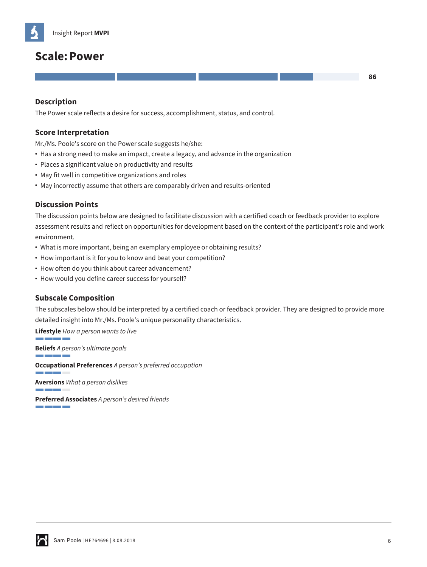# **Scale:Power**

# **Description**

The Power scale reflects a desire for success, accomplishment, status, and control.

#### **Score Interpretation**

Mr./Ms. Poole's score on the Power scale suggests he/she:

- **•** Has a strong need to make an impact, create a legacy, and advance in the organization
- **•** Places a significant value on productivity and results
- **•** May fit well in competitive organizations and roles
- **•** May incorrectly assume that others are comparably driven and results-oriented

## **Discussion Points**

The discussion points below are designed to facilitate discussion with a certified coach or feedback provider to explore assessment results and reflect on opportunities for development based on the context of the participant's role and work environment.

- **•** What is more important, being an exemplary employee or obtaining results?
- **•** How important is it for you to know and beat your competition?
- **•** How often do you think about career advancement?
- **•** How would you define career success for yourself?

## **Subscale Composition**

The subscales below should be interpreted by a certified coach or feedback provider. They are designed to provide more detailed insight into Mr./Ms. Poole's unique personality characteristics.

**Lifestyle** *How a person wants to live*

**Beliefs** *A person's ultimate goals* and the control of the control of

**Occupational Preferences** *A person's preferred occupation*

**Aversions** *What a person dislikes*

**Preferred Associates** *A person's desired friends* <u> Tanzania de la provincia de la provincia de la provincia de la provincia de la provincia de la provincia de l</u>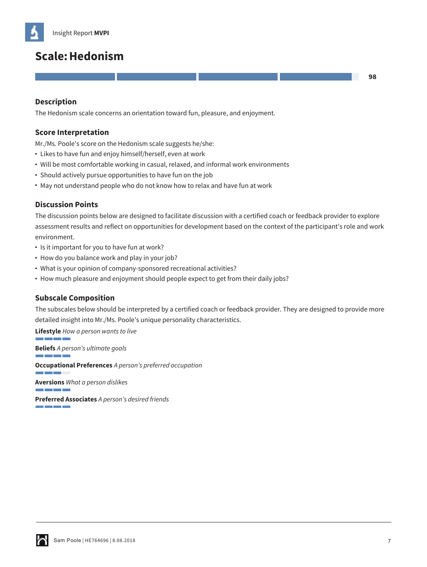# **Scale:Hedonism**

## **Description**

The Hedonism scale concerns an orientation toward fun, pleasure, and enjoyment.

#### **Score Interpretation**

Mr./Ms. Poole's score on the Hedonism scale suggests he/she:

- **•** Likes to have fun and enjoy himself/herself, even at work
- **•** Will be most comfortable working in casual, relaxed, and informal work environments
- **•** Should actively pursue opportunities to have fun on the job
- **•** May not understand people who do not know how to relax and have fun at work

#### **Discussion Points**

The discussion points below are designed to facilitate discussion with a certified coach or feedback provider to explore assessment results and reflect on opportunities for development based on the context of the participant's role and work environment.

- **•** Is it important for you to have fun at work?
- **•** How do you balance work and play in your job?
- **•** What is your opinion of company-sponsored recreational activities?
- **•** How much pleasure and enjoyment should people expect to get from their daily jobs?

#### **Subscale Composition**

The subscales below should be interpreted by a certified coach or feedback provider. They are designed to provide more detailed insight into Mr./Ms. Poole's unique personality characteristics.

**Lifestyle** *How a person wants to live*

**Beliefs** *A person's ultimate goals* and the control of the control of

**Occupational Preferences** *A person's preferred occupation*

**Aversions** *What a person dislikes*

**Preferred Associates** *A person's desired friends* <u> Tanzania de la provincia de la provincia de la provincia de la provincia de la provincia de la provincia de l</u>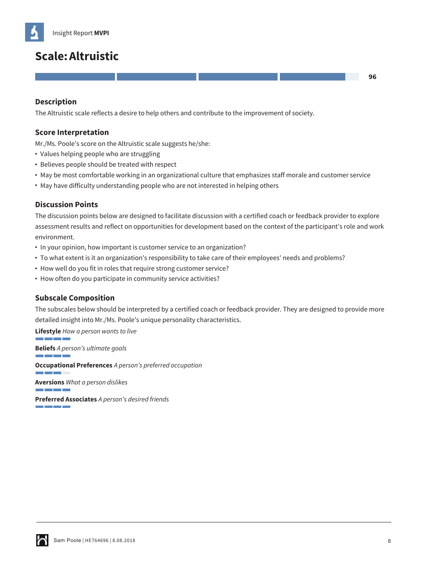# **Scale:Altruistic**

# **Description**

The Altruistic scale reflects a desire to help others and contribute to the improvement of society.

#### **Score Interpretation**

Mr./Ms. Poole's score on the Altruistic scale suggests he/she:

- **•** Values helping people who are struggling
- **•** Believes people should be treated with respect
- **•** May be most comfortable working in an organizational culture that emphasizes staff morale and customer service
- **•** May have difficulty understanding people who are not interested in helping others

#### **Discussion Points**

The discussion points below are designed to facilitate discussion with a certified coach or feedback provider to explore assessment results and reflect on opportunities for development based on the context of the participant's role and work environment.

- **•** In your opinion, how important is customer service to an organization?
- **•** To what extent is it an organization's responsibility to take care of their employees' needs and problems?
- **•** How well do you fit in roles that require strong customer service?
- **•** How often do you participate in community service activities?

## **Subscale Composition**

The subscales below should be interpreted by a certified coach or feedback provider. They are designed to provide more detailed insight into Mr./Ms. Poole's unique personality characteristics.

**Lifestyle** *How a person wants to live*

**Beliefs** *A person's ultimate goals* and the control of the control of

**Occupational Preferences** *A person's preferred occupation*

**Aversions** *What a person dislikes*

**Preferred Associates** *A person's desired friends* <u> Tanzania de la provincia de la provincia de la provincia de la provincia de la provincia de la provincia de l</u>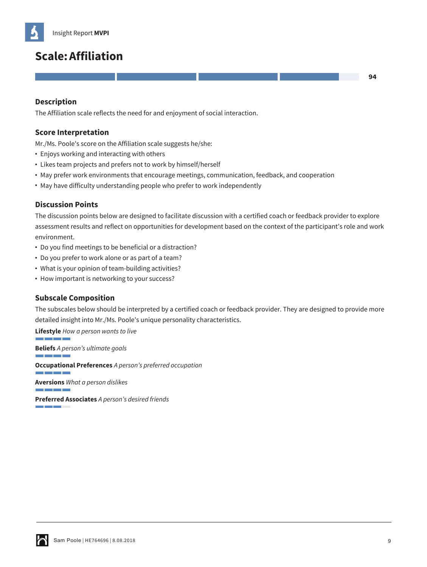# **Scale:Affiliation**

## **Description**

The Affiliation scale reflects the need for and enjoyment of social interaction.

#### **Score Interpretation**

Mr./Ms. Poole's score on the Affiliation scale suggests he/she:

- **•** Enjoys working and interacting with others
- **•** Likes team projects and prefers not to work by himself/herself
- **•** May prefer work environments that encourage meetings, communication, feedback, and cooperation
- **•** May have difficulty understanding people who prefer to work independently

#### **Discussion Points**

The discussion points below are designed to facilitate discussion with a certified coach or feedback provider to explore assessment results and reflect on opportunities for development based on the context of the participant's role and work environment.

- **•** Do you find meetings to be beneficial or a distraction?
- **•** Do you prefer to work alone or as part of a team?
- **•** What is your opinion of team-building activities?
- **•** How important is networking to your success?

## **Subscale Composition**

The subscales below should be interpreted by a certified coach or feedback provider. They are designed to provide more detailed insight into Mr./Ms. Poole's unique personality characteristics.

**Lifestyle** *How a person wants to live* **Beliefs** *A person's ultimate goals* and the control of the control of

**Occupational Preferences** *A person's preferred occupation*

**Aversions** *What a person dislikes*

**Preferred Associates** *A person's desired friends* <u> Tanzania de la provincia de la provincia de la provincia de la provincia de la provincia de la provincia de la</u>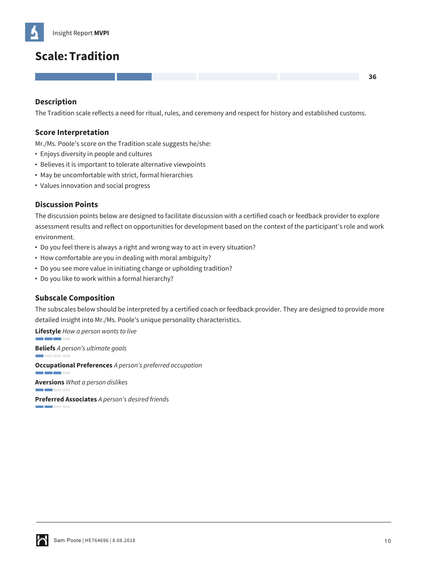# **Scale:Tradition**

## **Description**

The Tradition scale reflects a need for ritual, rules, and ceremony and respect for history and established customs.

#### **Score Interpretation**

Mr./Ms. Poole's score on the Tradition scale suggests he/she:

- **•** Enjoys diversity in people and cultures
- **•** Believes it is important to tolerate alternative viewpoints
- **•** May be uncomfortable with strict, formal hierarchies
- **•** Values innovation and social progress

#### **Discussion Points**

The discussion points below are designed to facilitate discussion with a certified coach or feedback provider to explore assessment results and reflect on opportunities for development based on the context of the participant's role and work environment.

- **•** Do you feel there is always a right and wrong way to act in every situation?
- **•** How comfortable are you in dealing with moral ambiguity?
- **•** Do you see more value in initiating change or upholding tradition?
- **•** Do you like to work within a formal hierarchy?

## **Subscale Composition**

The subscales below should be interpreted by a certified coach or feedback provider. They are designed to provide more detailed insight into Mr./Ms. Poole's unique personality characteristics.

**Lifestyle** *How a person wants to live*

**Beliefs** *A person's ultimate goals*

**Occupational Preferences** *A person's preferred occupation*

**Aversions** *What a person dislikes*

**Preferred Associates** *A person's desired friends* and the con-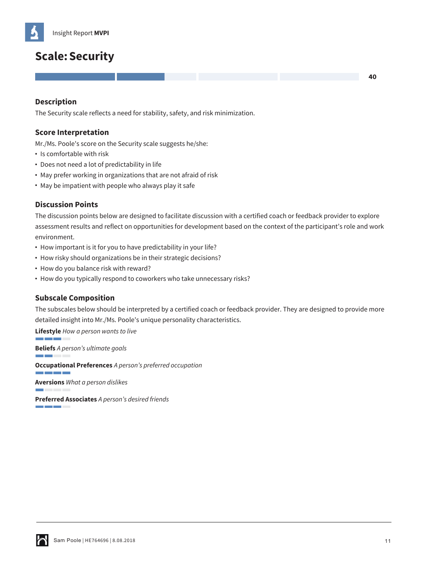

# **Scale:Security**

#### **Description**

The Security scale reflects a need for stability, safety, and risk minimization.

#### **Score Interpretation**

Mr./Ms. Poole's score on the Security scale suggests he/she:

- **•** Is comfortable with risk
- **•** Does not need a lot of predictability in life
- **•** May prefer working in organizations that are not afraid of risk
- **•** May be impatient with people who always play it safe

#### **Discussion Points**

The discussion points below are designed to facilitate discussion with a certified coach or feedback provider to explore assessment results and reflect on opportunities for development based on the context of the participant's role and work environment.

- **•** How important is it for you to have predictability in your life?
- **•** How risky should organizations be in their strategic decisions?
- **•** How do you balance risk with reward?
- **•** How do you typically respond to coworkers who take unnecessary risks?

#### **Subscale Composition**

The subscales below should be interpreted by a certified coach or feedback provider. They are designed to provide more detailed insight into Mr./Ms. Poole's unique personality characteristics.

**Lifestyle** *How a person wants to live*

**Beliefs** *A person's ultimate goals*

**Occupational Preferences** *A person's preferred occupation*

**Aversions** *What a person dislikes*

**Preferred Associates** *A person's desired friends* a a bhailte a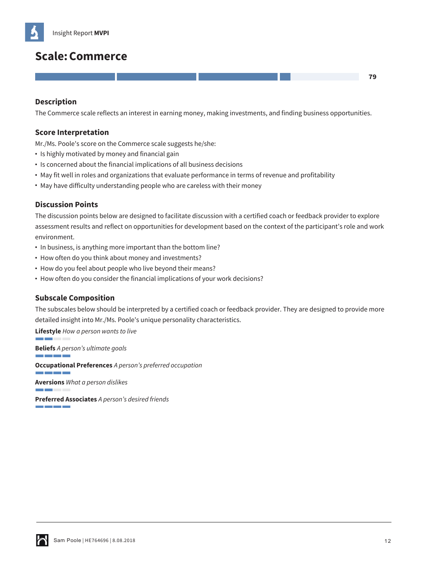# **Scale:Commerce**

## **Description**

The Commerce scale reflects an interest in earning money, making investments, and finding business opportunities.

#### **Score Interpretation**

Mr./Ms. Poole's score on the Commerce scale suggests he/she:

- **•** Is highly motivated by money and financial gain
- **•** Is concerned about the financial implications of all business decisions
- **•** May fit well in roles and organizations that evaluate performance in terms of revenue and profitability
- **•** May have difficulty understanding people who are careless with their money

## **Discussion Points**

The discussion points below are designed to facilitate discussion with a certified coach or feedback provider to explore assessment results and reflect on opportunities for development based on the context of the participant's role and work environment.

- **•** In business, is anything more important than the bottom line?
- **•** How often do you think about money and investments?
- **•** How do you feel about people who live beyond their means?
- **•** How often do you consider the financial implications of your work decisions?

## **Subscale Composition**

The subscales below should be interpreted by a certified coach or feedback provider. They are designed to provide more detailed insight into Mr./Ms. Poole's unique personality characteristics.

**Lifestyle** *How a person wants to live*

**Beliefs** *A person's ultimate goals*

a barat da ba

**Occupational Preferences** *A person's preferred occupation*

**Aversions** *What a person dislikes*

**Preferred Associates** *A person's desired friends* <u> Tanzania de la provincia de la provincia de la provincia de la provincia de la provincia de la provincia de l</u>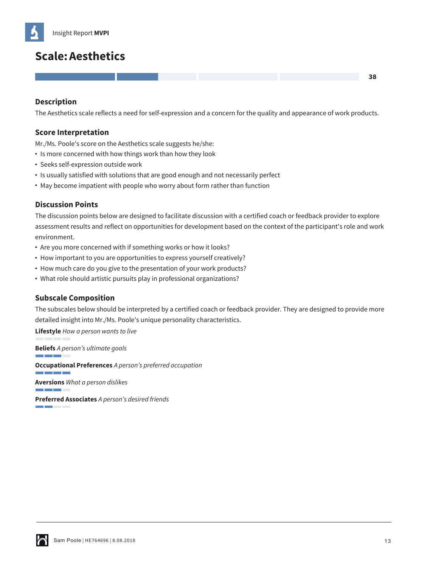# **Scale:Aesthetics**

# **Description**

The Aesthetics scale reflects a need for self-expression and a concern for the quality and appearance of work products.

## **Score Interpretation**

Mr./Ms. Poole's score on the Aesthetics scale suggests he/she:

- **•** Is more concerned with how things work than how they look
- **•** Seeks self-expression outside work
- **•** Is usually satisfied with solutions that are good enough and not necessarily perfect
- **•** May become impatient with people who worry about form rather than function

## **Discussion Points**

The discussion points below are designed to facilitate discussion with a certified coach or feedback provider to explore assessment results and reflect on opportunities for development based on the context of the participant's role and work environment.

- **•** Are you more concerned with if something works or how it looks?
- **•** How important to you are opportunities to express yourself creatively?
- **•** How much care do you give to the presentation of your work products?
- **•** What role should artistic pursuits play in professional organizations?

## **Subscale Composition**

The subscales below should be interpreted by a certified coach or feedback provider. They are designed to provide more detailed insight into Mr./Ms. Poole's unique personality characteristics.

**Lifestyle** *How a person wants to live*

**Beliefs** *A person's ultimate goals*

and the company

**Occupational Preferences** *A person's preferred occupation*

**Aversions** *What a person dislikes*

**Preferred Associates** *A person's desired friends* and the con-